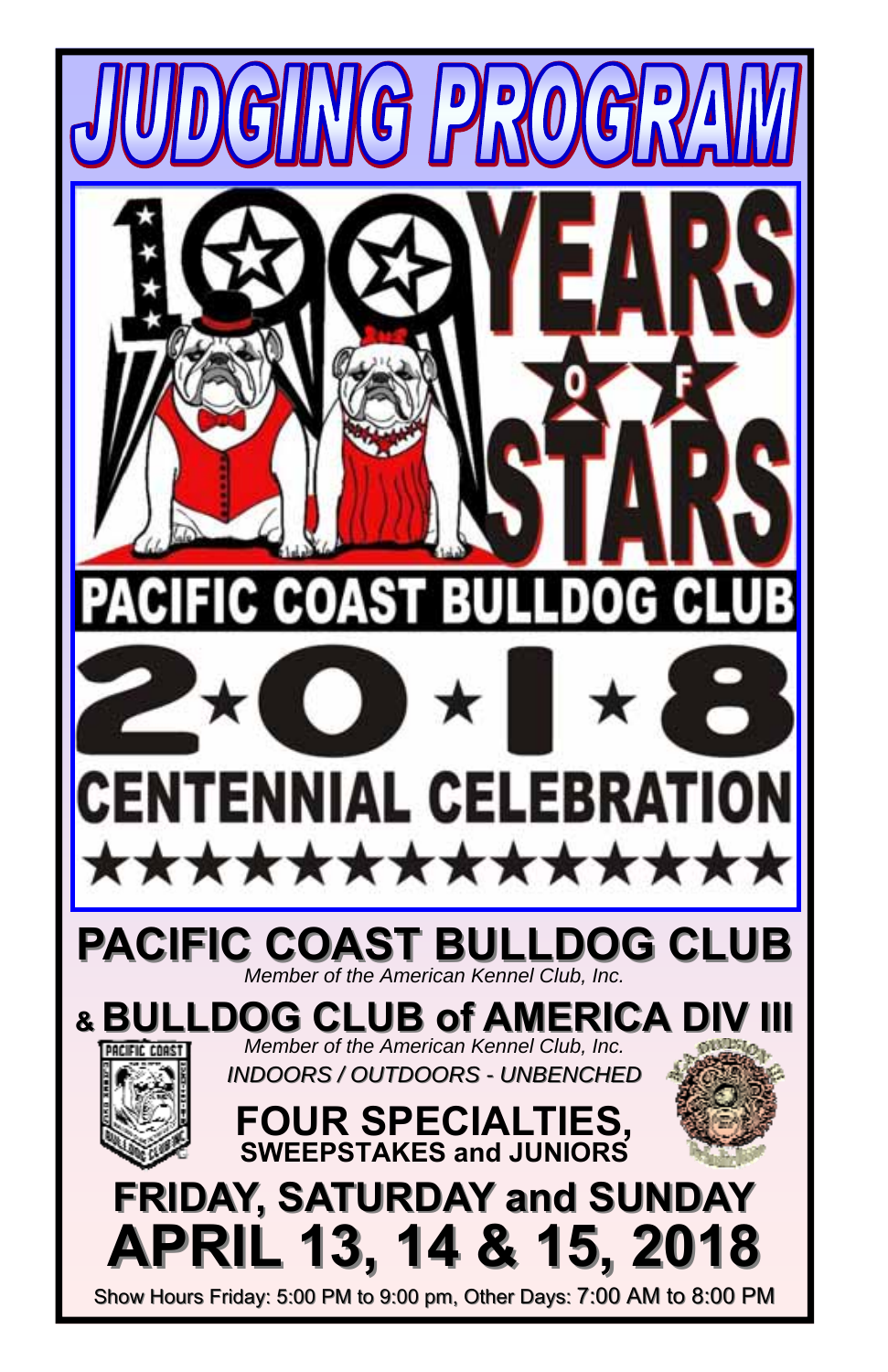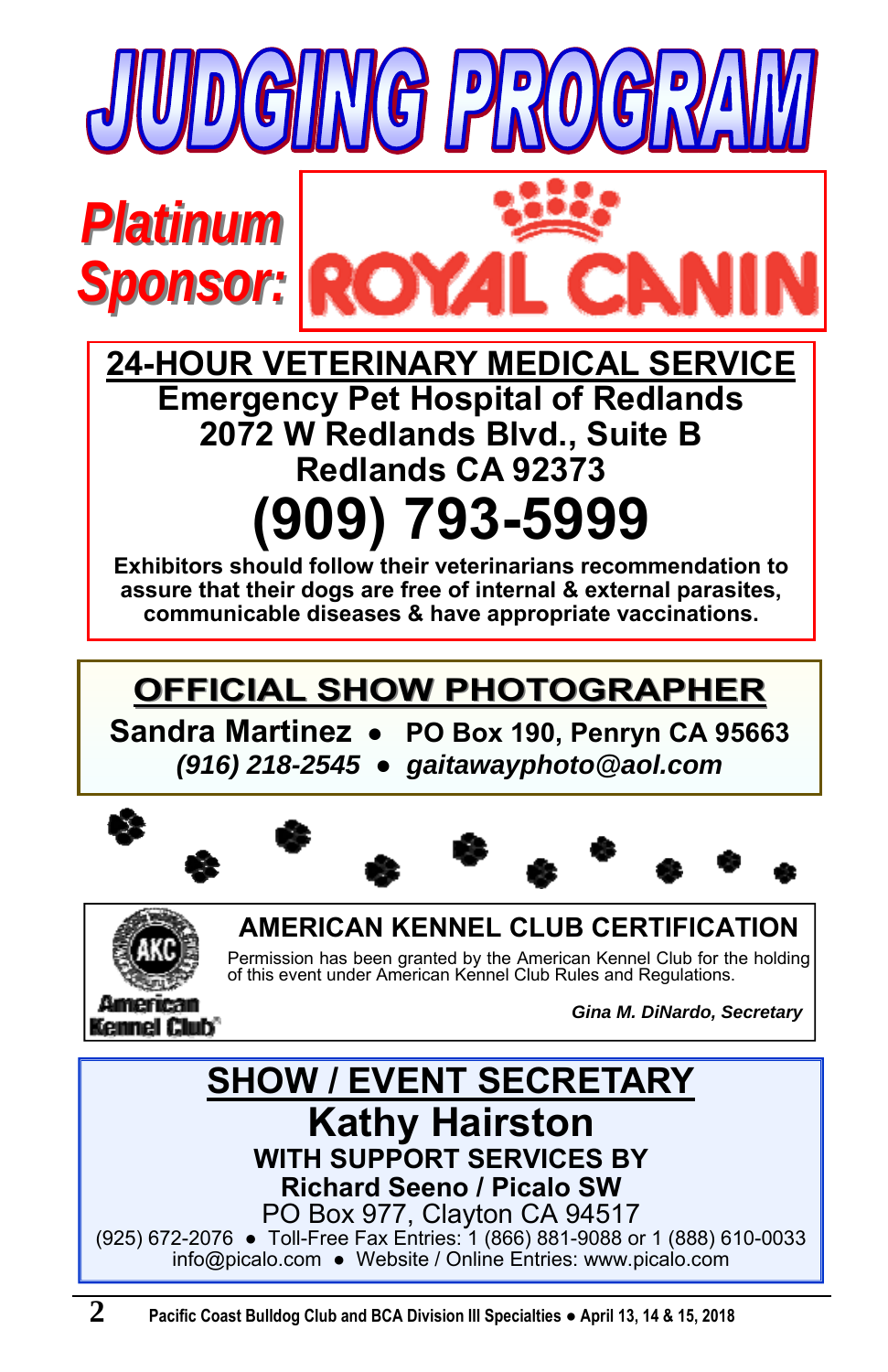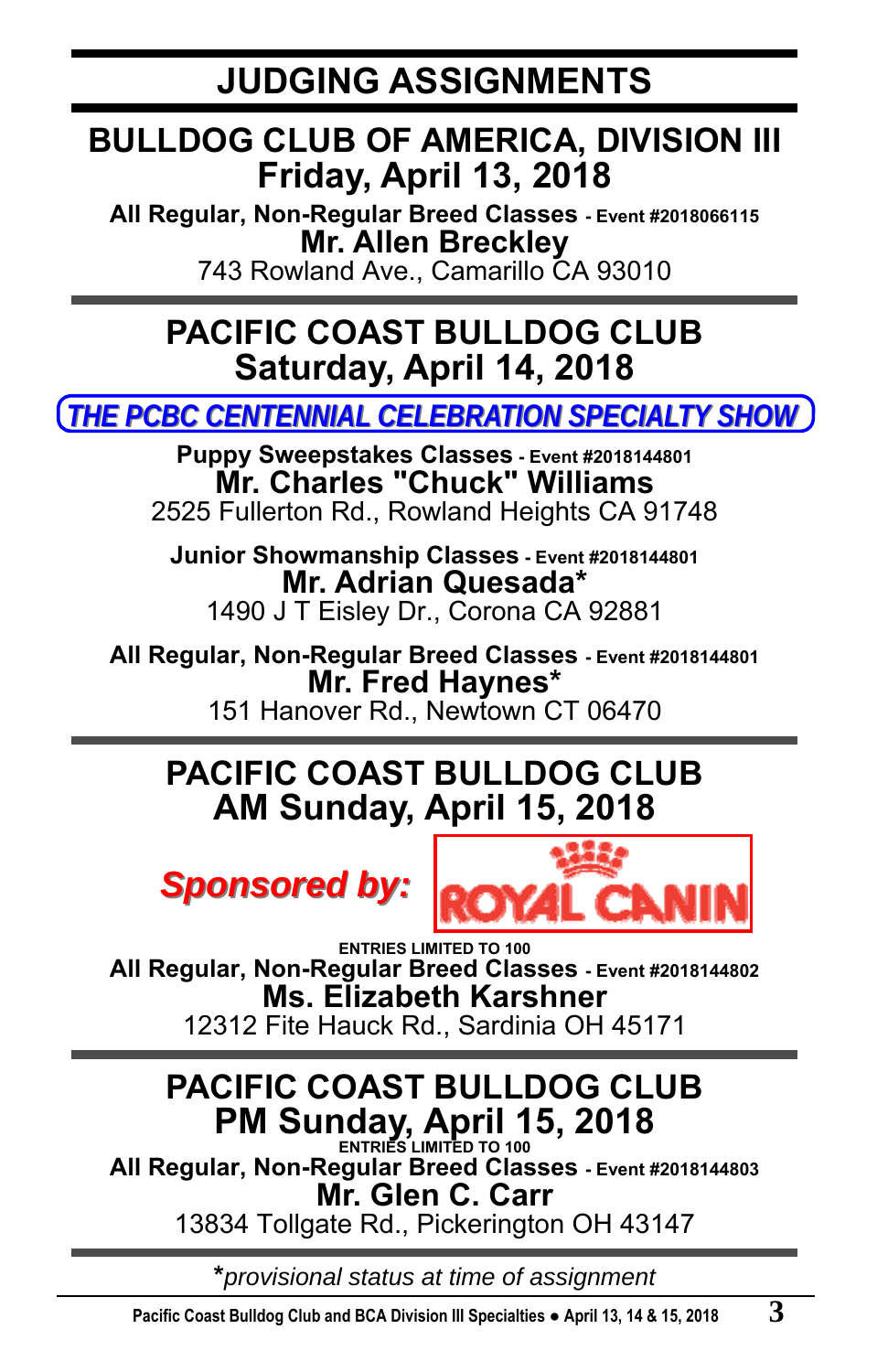## **BULLDOG CLUB OF AMERICA, DIVISION III Friday, April 13, 2018**

**All Regular, Non-Regular Breed Classes - Event #2018066115 Mr. Allen Breckley**  743 Rowland Ave., Camarillo CA 93010

**PACIFIC COAST BULLDOG CLUB Saturday, April 14, 2018** 

*THE PCBC CENTENNIAL CELEBRATION SPECIALT THE PCBC CENTENNIAL CELEBRATION SPECIALTY SHOW*

**Puppy Sweepstakes Classes - Event #2018144801 Mr. Charles "Chuck" Williams**  2525 Fullerton Rd., Rowland Heights CA 91748

**Junior Showmanship Classes - Event #2018144801 Mr. Adrian Quesada\***  1490 J T Eisley Dr., Corona CA 92881

**All Regular, Non-Regular Breed Classes - Event #2018144801 Mr. Fred Haynes\***  151 Hanover Rd., Newtown CT 06470

## **PACIFIC COAST BULLDOG CLUB AM Sunday, April 15, 2018**





**ENTRIES LIMITED TO 100 All Regular, Non-Regular Breed Classes - Event #2018144802 Ms. Elizabeth Karshner**  12312 Fite Hauck Rd., Sardinia OH 45171

# **PACIFIC COAST BULLDOG CLUB PM Sunday, April 15, 2018**

**All Regular, Non-Regular Breed Classes - Event #2018144803 Mr. Glen C. Carr** 

13834 Tollgate Rd., Pickerington OH 43147

**\****provisional status at time of assignment*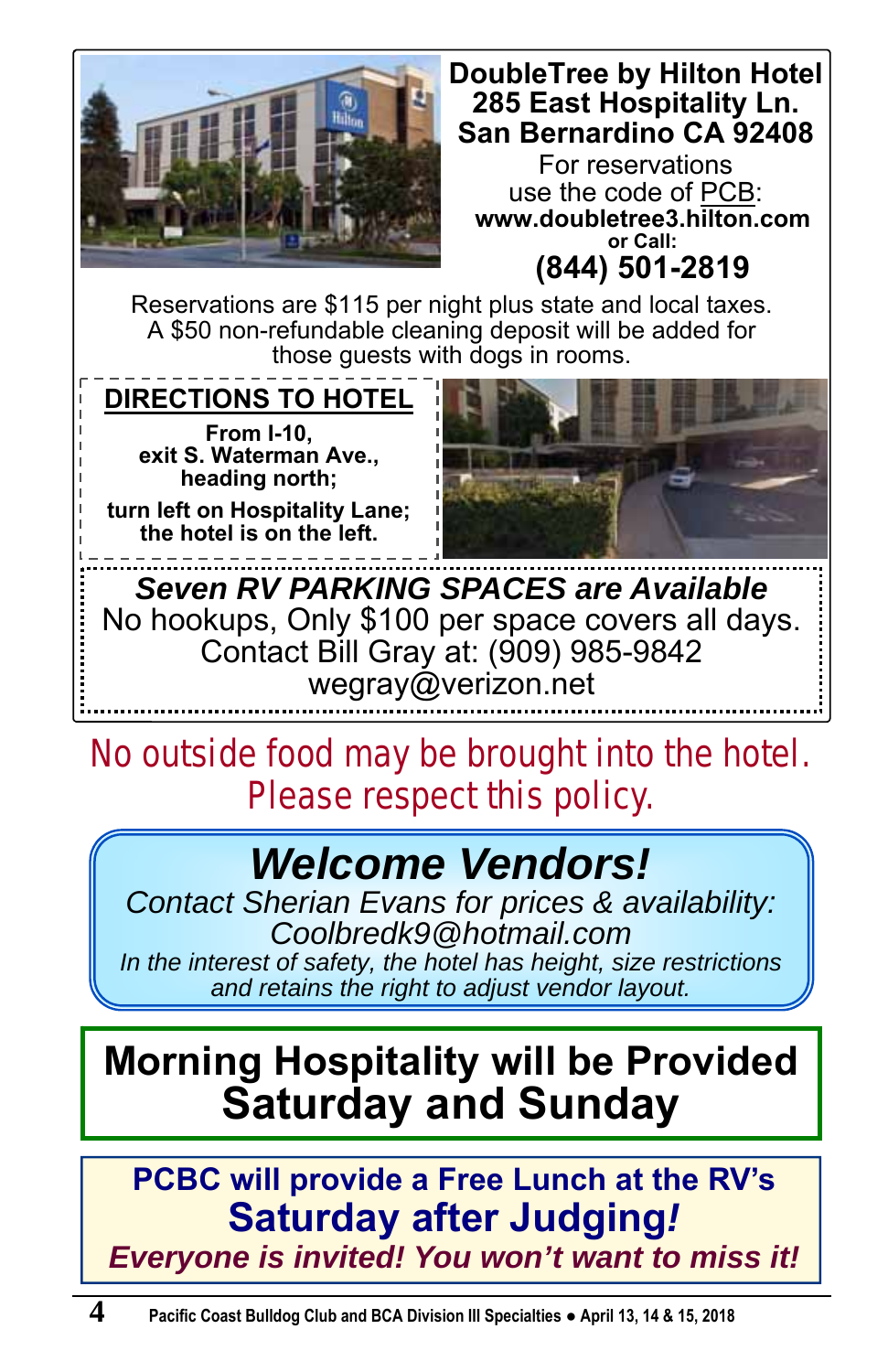

## **DoubleTree by Hilton Hotel 285 East Hospitality Ln. San Bernardino CA 92408**

For reservations use the code of PCB: **www.doubletree3.hilton.com or Call: (844) 501-2819**

Reservations are \$115 per night plus state and local taxes. A \$50 non-refundable cleaning deposit will be added for those guests with dogs in rooms.

**DIRECTIONS TO HOTEL From I-10, exit S. Waterman Ave., heading north;** 

**turn left on Hospitality Lane; the hotel is on the left.** 



*Seven RV PARKING SPACES are Available*  No hookups, Only \$100 per space covers all days. Contact Bill Gray at: (909) 985-9842 wegray@verizon.net

**No outside food may be brought into the hotel. Please respect this policy.** 

# *Welcome Vendors!*

*Contact Sherian Evans for prices & availability: Coolbredk9@hotmail.com In the interest of safety, the hotel has height, size restrictions and retains the right to adjust vendor layout.* 

# **Morning Hospitality will be Provided Saturday and Sunday**

**PCBC will provide a Free Lunch at the RV's Saturday after Judging***!* 

*Everyone is invited! You won't want to miss it!*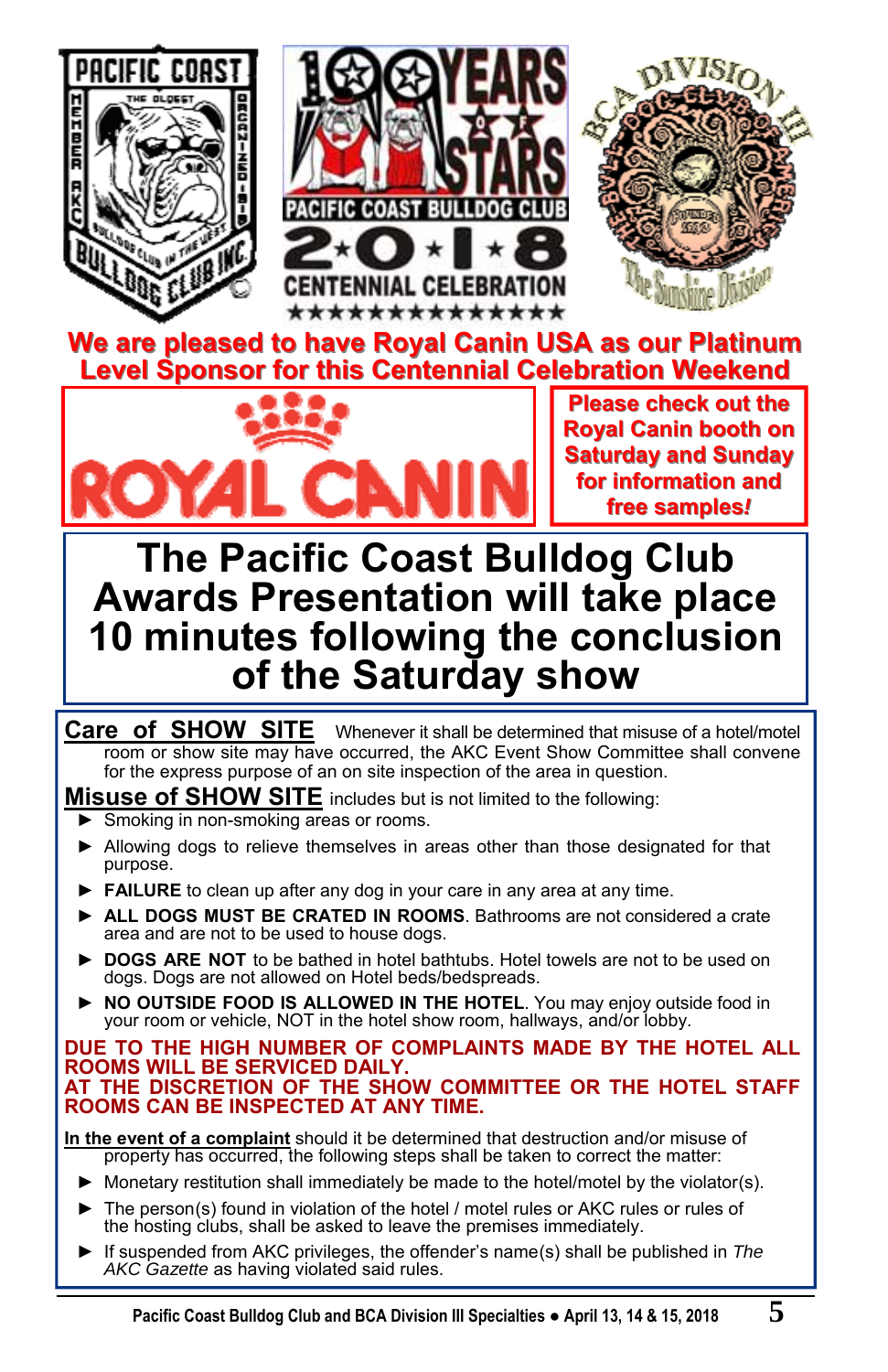

**We are pleased to have Royal Canin USA as our Platinum Level Sponsor for this Centennial Celebration Weekend Level Sponsor for this Centennial Celebration Weekend**



**Please check out the Royal Canin booth on Saturday and Sunday for information and free samples***!*

# **The Pacific Coast Bulldog Club Awards Presentation will take place 10 minutes following the conclusion of the Saturday show**

**Care of SHOW SITE** Whenever it shall be determined that misuse of a hotel/motel room or show site may have occurred, the AKC Event Show Committee shall convene for the express purpose of an on site inspection of the area in question.

**Misuse of SHOW SITE** includes but is not limited to the following:

- Smoking in non-smoking areas or rooms.
- ► Allowing dogs to relieve themselves in areas other than those designated for that purpose.
- ► **FAILURE** to clean up after any dog in your care in any area at any time.
- **► ALL DOGS MUST BE CRATED IN ROOMS**. Bathrooms are not considered a crate area and are not to be used to house dogs.
- ► DOGS ARE NOT to be bathed in hotel bathtubs. Hotel towels are not to be used on dogs. Dogs are not allowed on Hotel beds/bedspreads.
- **► NO OUTSIDE FOOD IS ALLOWED IN THE HOTEL**. You may enjoy outside food in your room or vehicle, NOT in the hotel show room, hallways, and/or lobby.

#### **DUE TO THE HIGH NUMBER OF COMPLAINTS MADE BY THE HOTEL ALL ROOMS WILL BE SERVICED DAILY. AT THE DISCRETION OF THE SHOW COMMITTEE OR THE HOTEL STAFF ROOMS CAN BE INSPECTED AT ANY TIME.**

**In the event of a complaint** should it be determined that destruction and/or misuse of property has occurred, the following steps shall be taken to correct the matter:

- $\blacktriangleright$  Monetary restitution shall immediately be made to the hotel/motel by the violator(s).
- ► The person(s) found in violation of the hotel / motel rules or AKC rules or rules of the hosting clubs, shall be asked to leave the premises immediately.
- ► If suspended from AKC privileges, the offender's name(s) shall be published in *The AKC Gazette* as having violated said rules.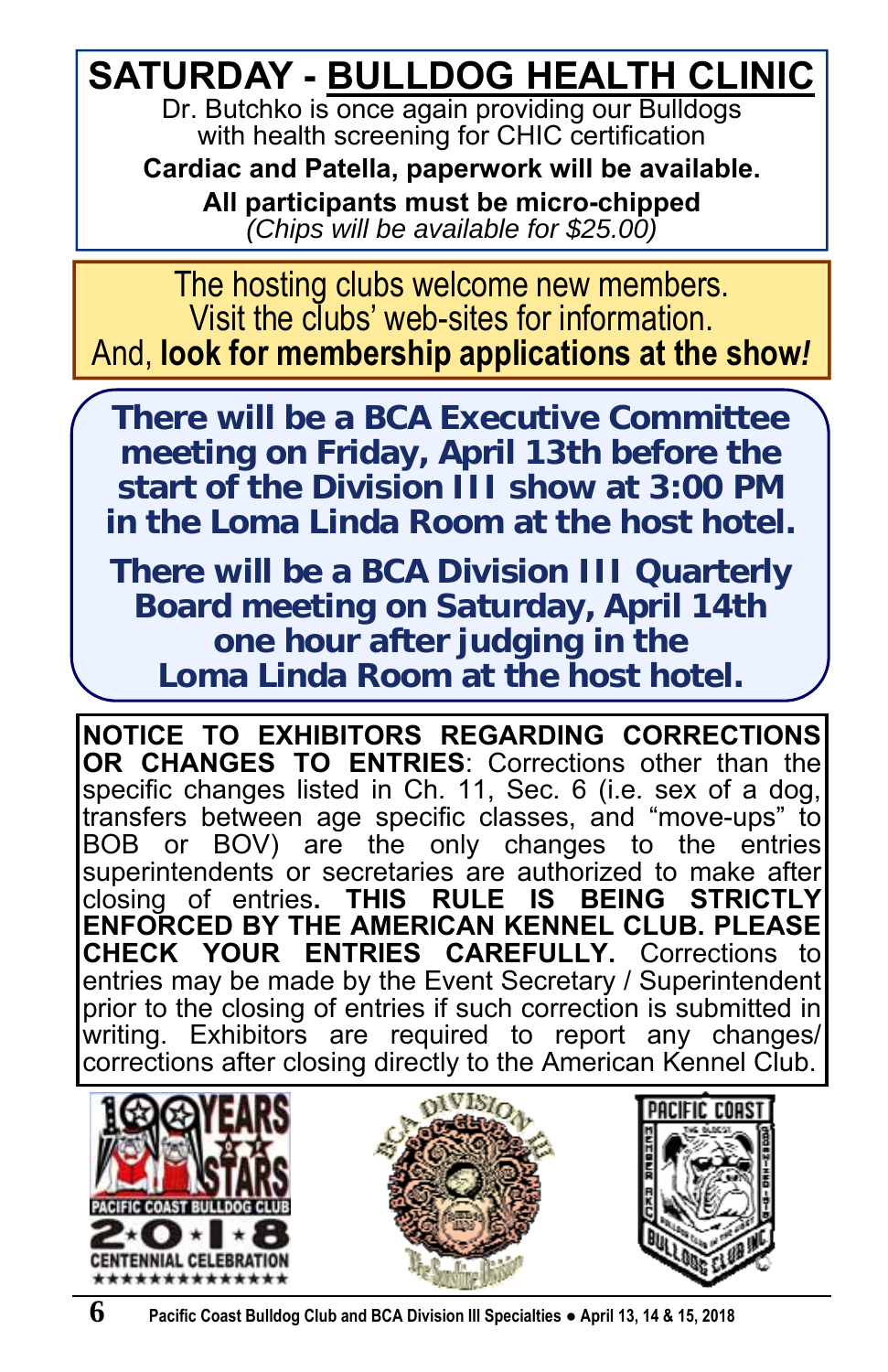# **SATURDAY - BULLDOG HEALTH CLINIC**

Dr. Butchko is once again providing our Bulldogs with health screening for CHIC certification

**Cardiac and Patella, paperwork will be available. All participants must be micro-chipped**  *(Chips will be available for \$25.00)*

The hosting clubs welcome new members. Visit the clubs' web-sites for information. And, **look for membership applications at the show***!*

**There will be a BCA Executive Committee meeting on Friday, April 13th before the start of the Division III show at 3:00 PM in the Loma Linda Room at the host hotel.** 

**There will be a BCA Division III Quarterly Board meeting on Saturday, April 14th one hour after judging in the Loma Linda Room at the host hotel.** 

**NOTICE TO EXHIBITORS REGARDING CORRECTIONS OR CHANGES TO ENTRIES**: Corrections other than the specific changes listed in Ch. 11, Sec. 6 (i.e. sex of a dog, transfers between age specific classes, and "move-ups" to BOB or BOV) are the only changes to the entries superintendents or secretaries are authorized to make after closing of entries**. THIS RULE IS BEING STRICTLY ENFORCED BY THE AMERICAN KENNEL CLUB. PLEASE CHECK YOUR ENTRIES CAREFULLY.** Corrections to entries may be made by the Event Secretary / Superintendent prior to the closing of entries if such correction is submitted in writing. Exhibitors are required to report any changes/ corrections after closing directly to the American Kennel Club.

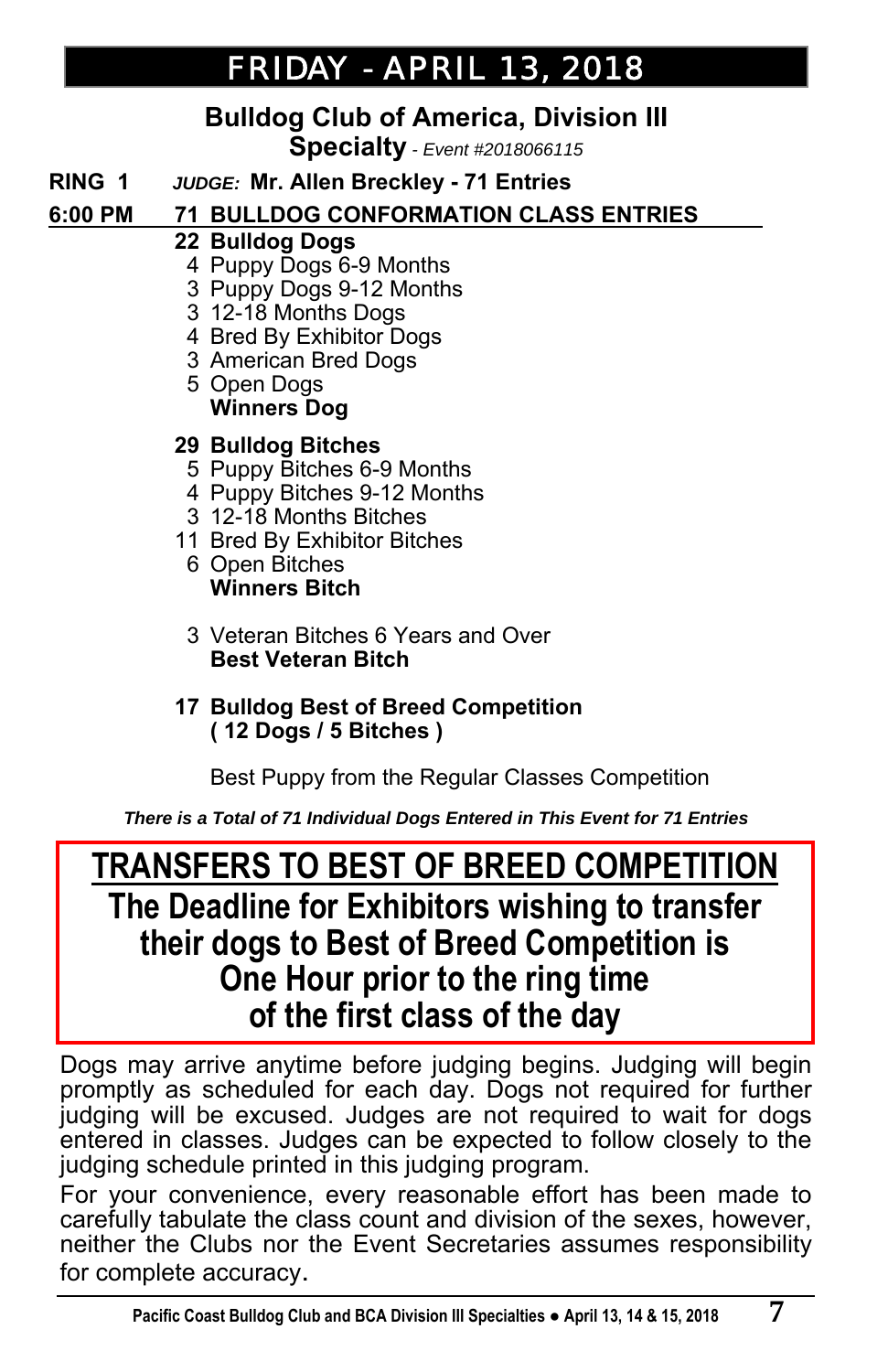# *FRIDAY - APRIL 13, 2018 APRIL 13, 2018*

## **Bulldog Club of America, Division III**

**Specialty** *- Event #2018066115*

**RING 1** *JUDGE:* **Mr. Allen Breckley - 71 Entries**

### **6:00 PM 71 BULLDOG CONFORMATION CLASS ENTRIES \_**

#### **22 Bulldog Dogs**

- 4 Puppy Dogs 6-9 Months
- 3 Puppy Dogs 9-12 Months
- 3 12-18 Months Dogs
- 4 Bred By Exhibitor Dogs
- 3 American Bred Dogs
- 5 Open Dogs  **Winners Dog**

#### **29 Bulldog Bitches**

- 5 Puppy Bitches 6-9 Months
- 4 Puppy Bitches 9-12 Months
- 3 12-18 Months Bitches
- 11 Bred By Exhibitor Bitches
	- 6 Open Bitches  **Winners Bitch**
	- 3 Veteran Bitches 6 Years and Over  **Best Veteran Bitch**

#### **17 Bulldog Best of Breed Competition ( 12 Dogs / 5 Bitches )**

Best Puppy from the Regular Classes Competition

*There is a Total of 71 Individual Dogs Entered in This Event for 71 Entries*

## **TRANSFERS TO BEST OF BREED COMPETITION The Deadline for Exhibitors wishing to transfer their dogs to Best of Breed Competition is One Hour prior to the ring time of the first class of the day**

Dogs may arrive anytime before judging begins. Judging will begin promptly as scheduled for each day. Dogs not required for further judging will be excused. Judges are not required to wait for dogs entered in classes. Judges can be expected to follow closely to the judging schedule printed in this judging program.

For your convenience, every reasonable effort has been made to carefully tabulate the class count and division of the sexes, however, neither the Clubs nor the Event Secretaries assumes responsibility for complete accuracy.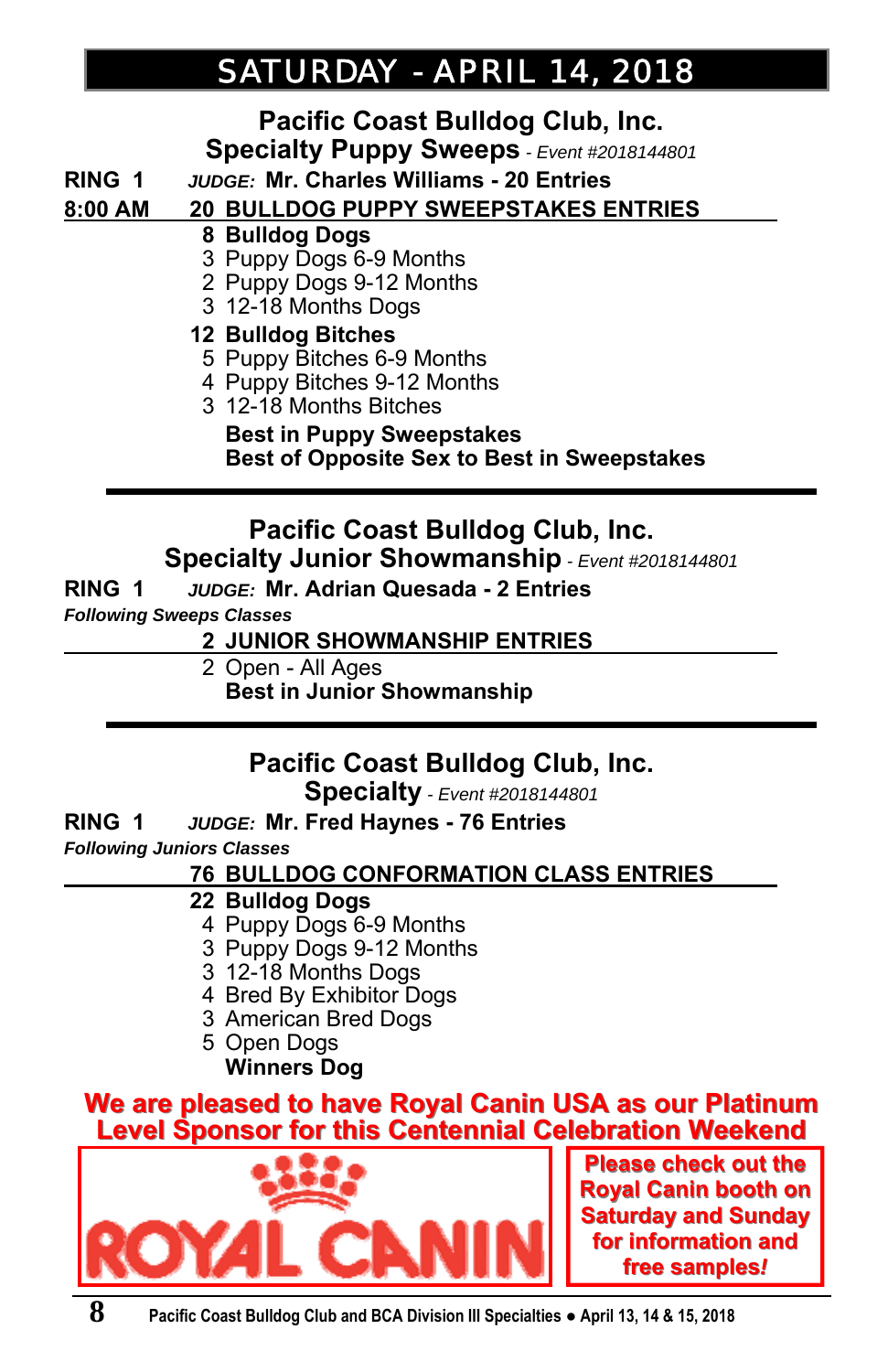# *SATURDAY SATURDAY - APRIL 14, 2018 APRIL 14, 2018*

# **Pacific Coast Bulldog Club, Inc.**

**Specialty Puppy Sweeps** *- Event #2018144801*

**RING 1** *JUDGE:* **Mr. Charles Williams - 20 Entries**

#### **8:00 AM 20 BULLDOG PUPPY SWEEPSTAKES ENTRIES \_**

- **8 Bulldog Dogs**
- 3 Puppy Dogs 6-9 Months
- 2 Puppy Dogs 9-12 Months
- 3 12-18 Months Dogs

#### **12 Bulldog Bitches**

- 5 Puppy Bitches 6-9 Months
- 4 Puppy Bitches 9-12 Months
- 3 12-18 Months Bitches

#### **Best in Puppy Sweepstakes Best of Opposite Sex to Best in Sweepstakes**

# **Pacific Coast Bulldog Club, Inc.**

**Specialty Junior Showmanship** *- Event #2018144801*

#### **RING 1** *JUDGE:* **Mr. Adrian Quesada - 2 Entries**

*Following Sweeps Classes* 

#### **2 JUNIOR SHOWMANSHIP ENTRIES \_**

- 2 Open All Ages
	- **Best in Junior Showmanship**

## **Pacific Coast Bulldog Club, Inc.**

**Specialty** *- Event #2018144801*

**RING 1** *JUDGE:* **Mr. Fred Haynes - 76 Entries**  *Following Juniors Classes* 

#### **76 BULLDOG CONFORMATION CLASS ENTRIES \_**

#### **22 Bulldog Dogs**

- 4 Puppy Dogs 6-9 Months
- 3 Puppy Dogs 9-12 Months
- 3 12-18 Months Dogs
- 4 Bred By Exhibitor Dogs
- 3 American Bred Dogs
- 5 Open Dogs  **Winners Dog**

#### **We are pleased to have Royal Canin USA as our Platinum Level Sponsor for this Centennial Celebration Weekend Level Sponsor for this Centennial Celebration Weekend**



**Please check out the Royal Canin booth on Saturday and Sunday for information and for information and free samples***!*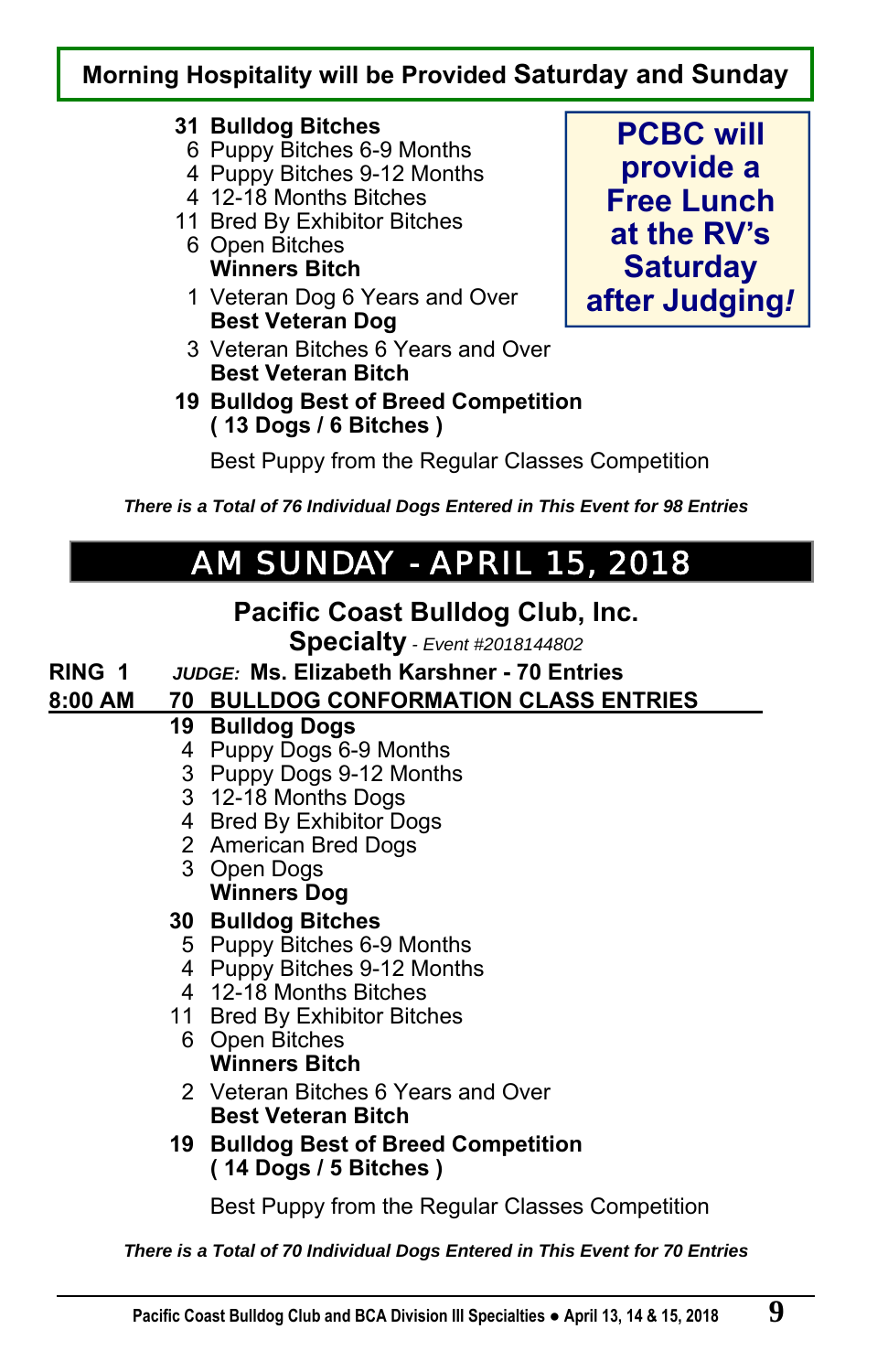## **Morning Hospitality will be Provided Saturday and Sunday**

#### **31 Bulldog Bitches**

- 6 Puppy Bitches 6-9 Months
- 4 Puppy Bitches 9-12 Months
- 4 12-18 Months Bitches
- 11 Bred By Exhibitor Bitches
	- 6 Open Bitches  **Winners Bitch**
	- 1 Veteran Dog 6 Years and Over  **Best Veteran Dog**
	- 3 Veteran Bitches 6 Years and Over  **Best Veteran Bitch**
- **19 Bulldog Best of Breed Competition ( 13 Dogs / 6 Bitches )**

**PCBC will provide a Free Lunch at the RV's Saturday after Judging***!*

Best Puppy from the Regular Classes Competition

*There is a Total of 76 Individual Dogs Entered in This Event for 98 Entries*

# *AM SUNDAY AM SUNDAY - APRIL 15, 2018 APRIL 15, 2018*

## **Pacific Coast Bulldog Club, Inc.**

**Specialty** *- Event #2018144802* 

**RING 1** *JUDGE:* **Ms. Elizabeth Karshner - 70 Entries**

## **8:00 AM 70 BULLDOG CONFORMATION CLASS ENTRIES \_**

- **19 Bulldog Dogs** 
	- 4 Puppy Dogs 6-9 Months
	- 3 Puppy Dogs 9-12 Months
	- 3 12-18 Months Dogs
	- 4 Bred By Exhibitor Dogs
	- 2 American Bred Dogs
	- 3 Open Dogs  **Winners Dog**

## **30 Bulldog Bitches**

- 5 Puppy Bitches 6-9 Months
- 4 Puppy Bitches 9-12 Months
- 4 12-18 Months Bitches
- 11 Bred By Exhibitor Bitches
	- 6 Open Bitches  **Winners Bitch**
	- 2 Veteran Bitches 6 Years and Over  **Best Veteran Bitch**
- **19 Bulldog Best of Breed Competition ( 14 Dogs / 5 Bitches )**

Best Puppy from the Regular Classes Competition

*There is a Total of 70 Individual Dogs Entered in This Event for 70 Entries*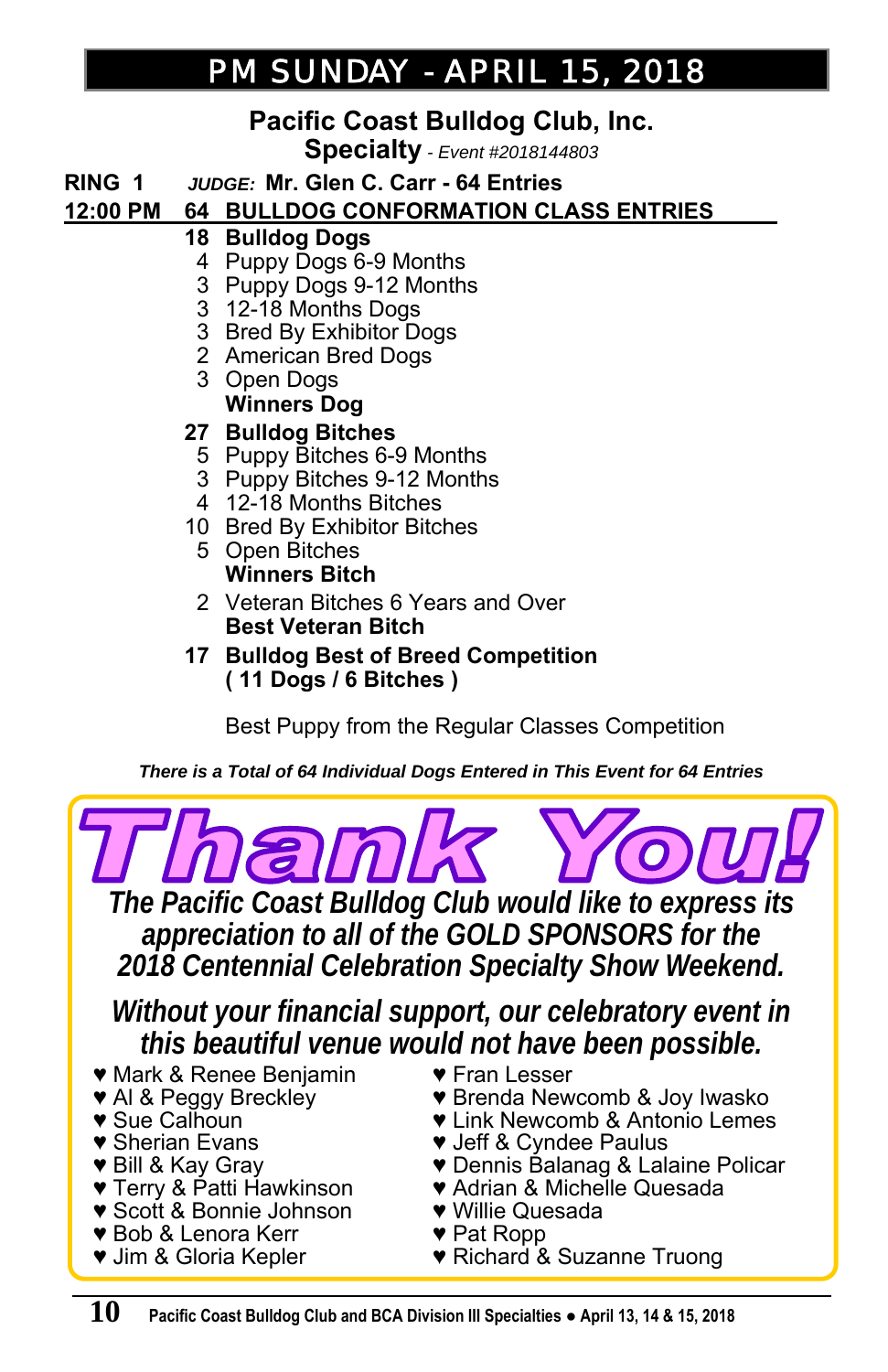## *PM SUNDAY PM SUNDAY - APRIL 15, 2018 APRIL 15, 2018*

## **Pacific Coast Bulldog Club, Inc.**

**Specialty** *- Event #2018144803* 

**RING 1** *JUDGE:* **Mr. Glen C. Carr - 64 Entries** 

#### **12:00 PM 64 BULLDOG CONFORMATION CLASS ENTRIES \_**

#### **18 Bulldog Dogs**

- 4 Puppy Dogs 6-9 Months
- 3 Puppy Dogs 9-12 Months
- 3 12-18 Months Dogs
- 3 Bred By Exhibitor Dogs
- 2 American Bred Dogs
- 3 Open Dogs  **Winners Dog**

#### **27 Bulldog Bitches**

- 5 Puppy Bitches 6-9 Months
- 3 Puppy Bitches 9-12 Months
- 4 12-18 Months Bitches
- 10 Bred By Exhibitor Bitches
	- 5 Open Bitches  **Winners Bitch**
	- 2 Veteran Bitches 6 Years and Over  **Best Veteran Bitch**
- **17 Bulldog Best of Breed Competition ( 11 Dogs / 6 Bitches )**

Best Puppy from the Regular Classes Competition

*There is a Total of 64 Individual Dogs Entered in This Event for 64 Entries*



*appreciation to all of the GOLD SPONSORS for the 2018 Centennial Celebration Specialty Show Weekend.* 

*Without your financial support, our celebratory event in this beautiful venue would not have been possible.*

- ♥ Mark & Renee Benjamin
- ♥ Al & Peggy Breckley
- ♥ Sue Calhoun
- ♥ Sherian Evans
- ♥ Bill & Kay Gray
- ♥ Terry & Patti Hawkinson
- ♥ Scott & Bonnie Johnson
- ♥ Bob & Lenora Kerr
- ♥ Jim & Gloria Kepler
- ♥ Fran Lesser
- ♥ Brenda Newcomb & Joy Iwasko
- ♥ Link Newcomb & Antonio Lemes
- ♥ Jeff & Cyndee Paulus
- ♥ Dennis Balanag & Lalaine Policar
- ♥ Adrian & Michelle Quesada
- ♥ Willie Quesada
- ♥ Pat Ropp
- ♥ Richard & Suzanne Truong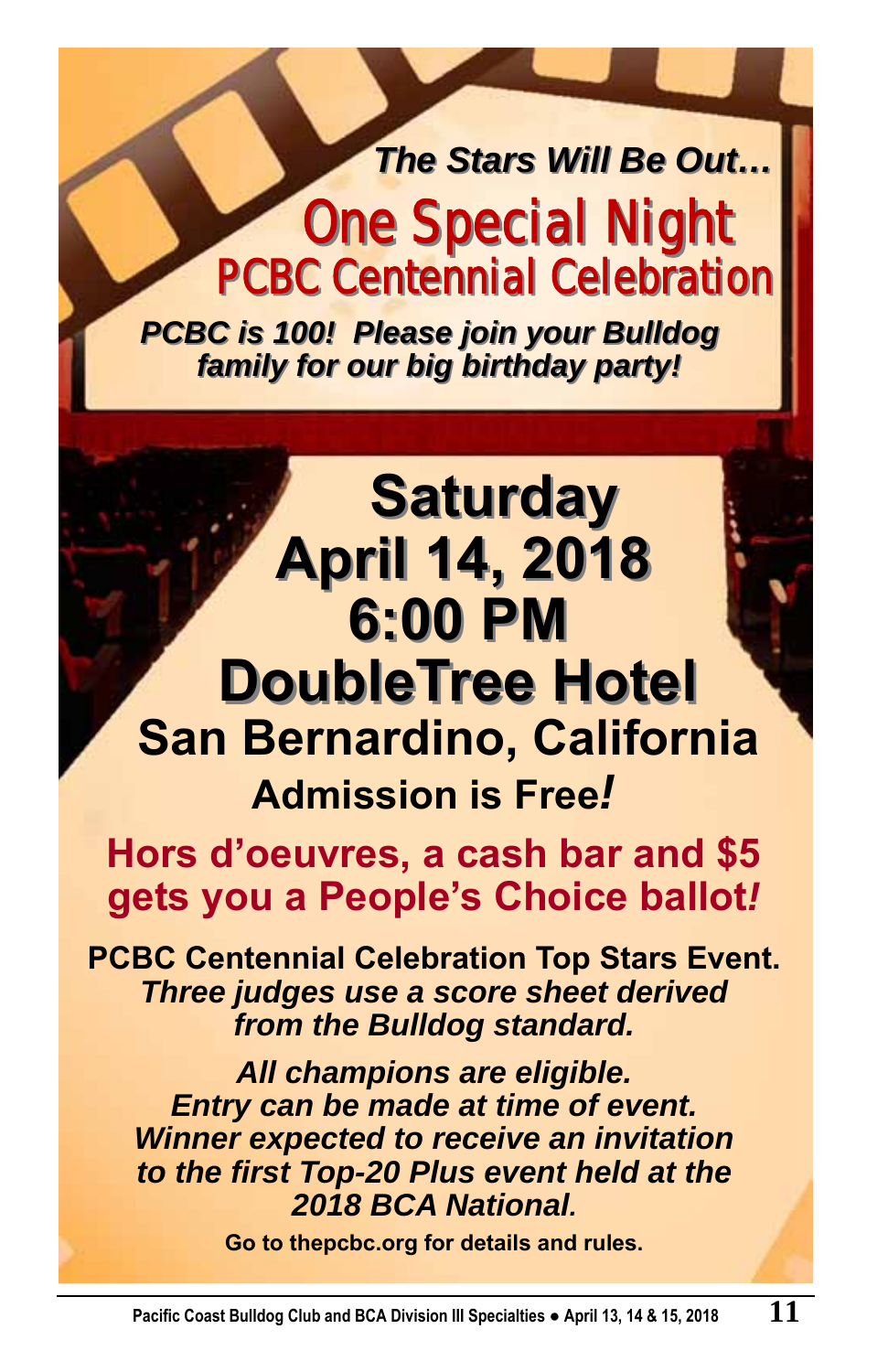# *The Stars Will Be Out…* **One Special Night One Special Night PCBC Centennial Celebration PCBC Centennial Celebration**

**Saturday Saturday**

*PCBC is 100! Please join your Bulldog PCBC is 100! Please join your Bulldog family for our big birthday party! family for our big birthday party!*

# **April 14, 2018 April 14, 2018 6:00 PM 6:00 PM DoubleTree Hotel DoubleTree Hotel San Bernardino, California Admission is Free***!*

**Hors d'oeuvres, a cash bar and \$5 gets you a People's Choice ballot***!* 

**PCBC Centennial Celebration Top Stars Event.**  *Three judges use a score sheet derived from the Bulldog standard.* 

*All champions are eligible. Entry can be made at time of event. Winner expected to receive an invitation to the first Top-20 Plus event held at the 2018 BCA National.* 

**Go to thepcbc.org for details and rules.**